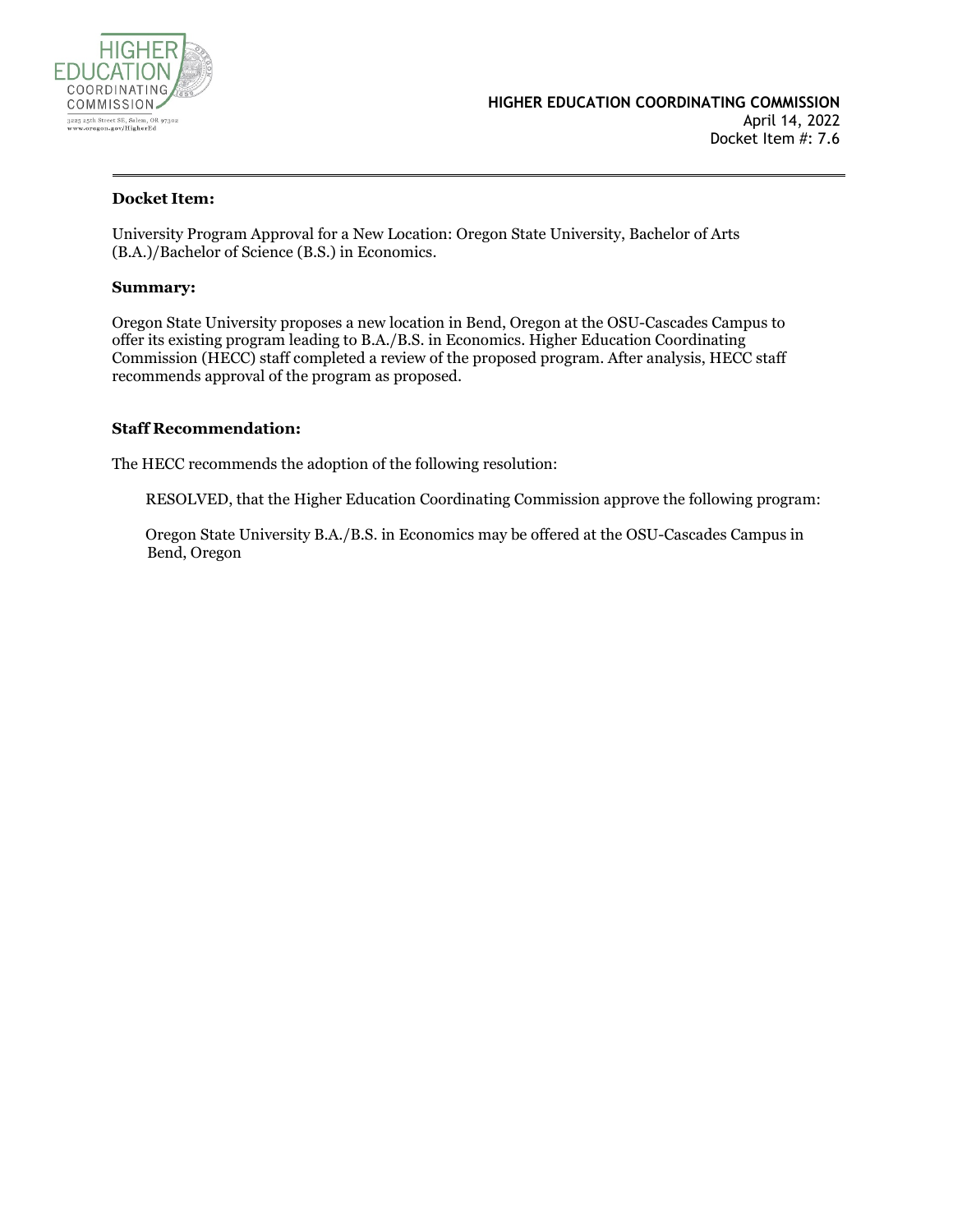

#### **Docket Item:**

University Program Approval for a New Location: Oregon State University, Bachelor of Arts (B.A.)/Bachelor of Science (B.S.) in Economics.

#### **Summary:**

Oregon State University proposes a new location in Bend, Oregon at the OSU-Cascades Campus to offer its existing program leading to B.A./B.S. in Economics. Higher Education Coordinating Commission (HECC) staff completed a review of the proposed program. After analysis, HECC staff recommends approval of the program as proposed.

#### **Staff Recommendation:**

The HECC recommends the adoption of the following resolution:

RESOLVED, that the Higher Education Coordinating Commission approve the following program:

 Oregon State University B.A./B.S. in Economics may be offered at the OSU-Cascades Campus in Bend, Oregon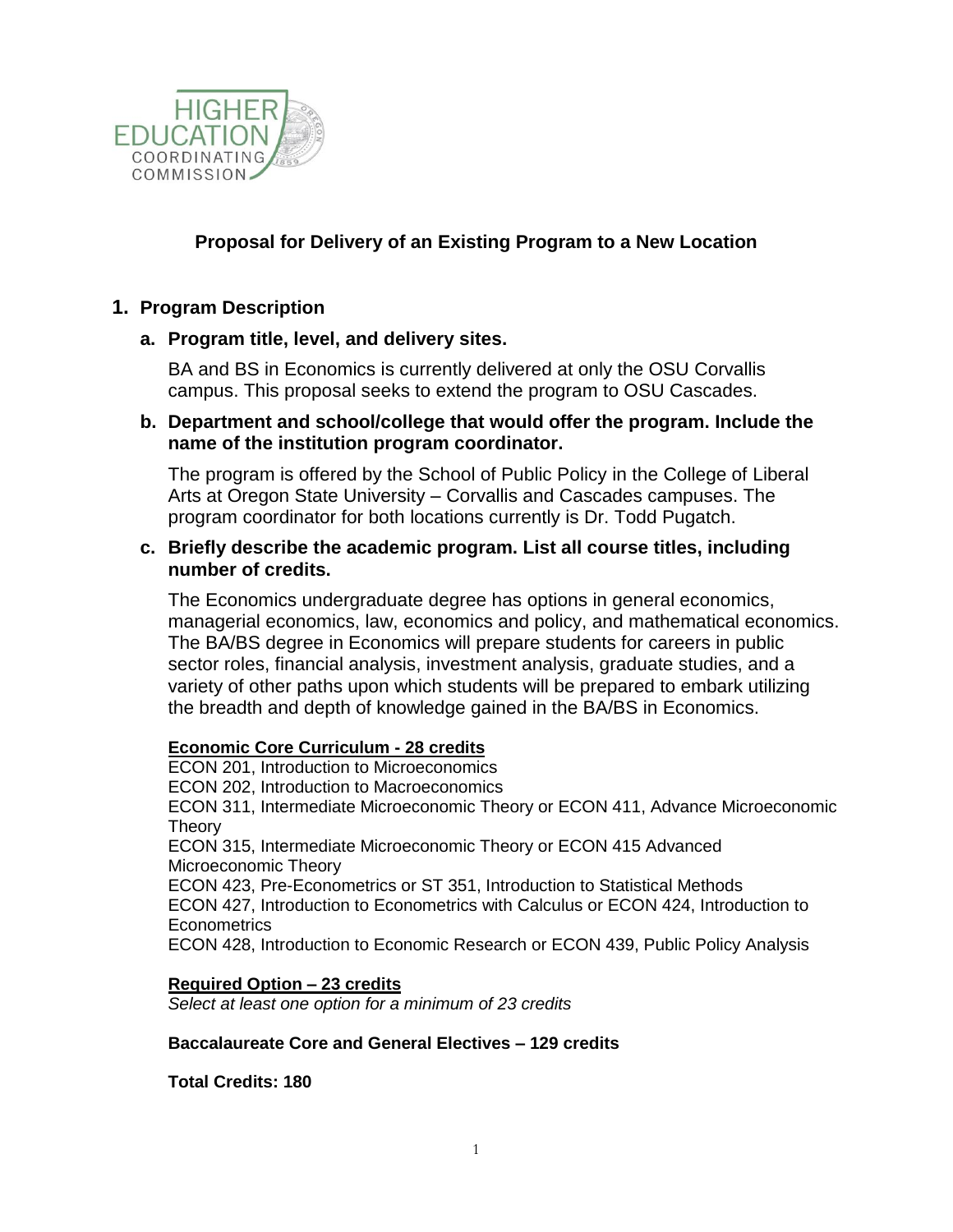

# **Proposal for Delivery of an Existing Program to a New Location**

## **1. Program Description**

#### **a. Program title, level, and delivery sites.**

BA and BS in Economics is currently delivered at only the OSU Corvallis campus. This proposal seeks to extend the program to OSU Cascades.

## **b. Department and school/college that would offer the program. Include the name of the institution program coordinator.**

The program is offered by the School of Public Policy in the College of Liberal Arts at Oregon State University – Corvallis and Cascades campuses. The program coordinator for both locations currently is Dr. Todd Pugatch.

#### **c. Briefly describe the academic program. List all course titles, including number of credits.**

The Economics undergraduate degree has options in general economics, managerial economics, law, economics and policy, and mathematical economics. The BA/BS degree in Economics will prepare students for careers in public sector roles, financial analysis, investment analysis, graduate studies, and a variety of other paths upon which students will be prepared to embark utilizing the breadth and depth of knowledge gained in the BA/BS in Economics.

## **Economic Core Curriculum - 28 credits**

ECON 201, Introduction to Microeconomics ECON 202, Introduction to Macroeconomics ECON 311, Intermediate Microeconomic Theory or ECON 411, Advance Microeconomic Theory ECON 315, Intermediate Microeconomic Theory or ECON 415 Advanced Microeconomic Theory ECON 423, Pre-Econometrics or ST 351, Introduction to Statistical Methods ECON 427, Introduction to Econometrics with Calculus or ECON 424, Introduction to **Econometrics** ECON 428, Introduction to Economic Research or ECON 439, Public Policy Analysis

#### **Required Option – 23 credits**

*Select at least one option for a minimum of 23 credits*

#### **Baccalaureate Core and General Electives – 129 credits**

**Total Credits: 180**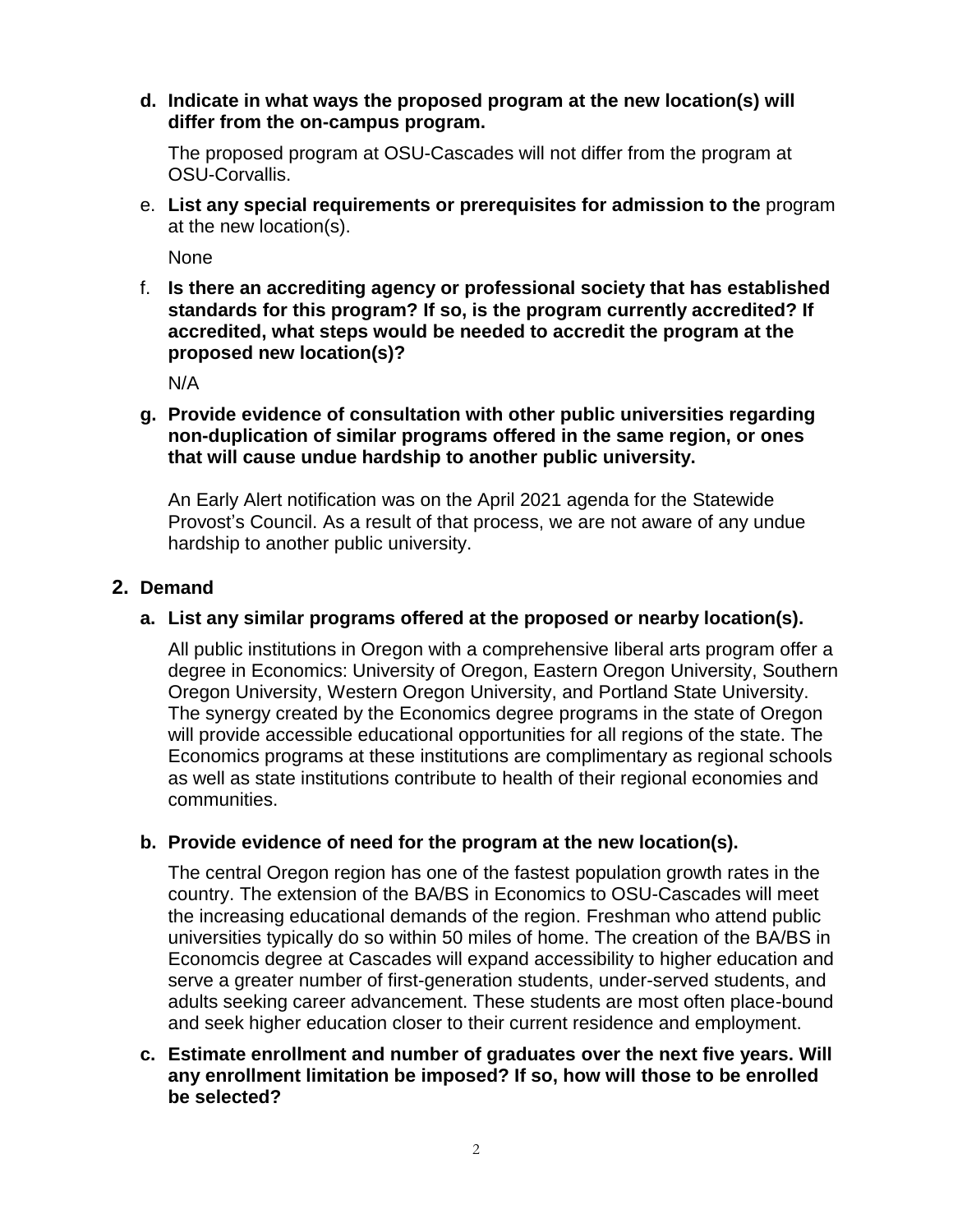**d. Indicate in what ways the proposed program at the new location(s) will differ from the on-campus program.**

The proposed program at OSU-Cascades will not differ from the program at OSU-Corvallis.

e. **List any special requirements or prerequisites for admission to the** program at the new location(s).

None

f. **Is there an accrediting agency or professional society that has established standards for this program? If so, is the program currently accredited? If accredited, what steps would be needed to accredit the program at the proposed new location(s)?**

N/A

## **g. Provide evidence of consultation with other public universities regarding non-duplication of similar programs offered in the same region, or ones that will cause undue hardship to another public university.**

An Early Alert notification was on the April 2021 agenda for the Statewide Provost's Council. As a result of that process, we are not aware of any undue hardship to another public university.

## **2. Demand**

## **a. List any similar programs offered at the proposed or nearby location(s).**

All public institutions in Oregon with a comprehensive liberal arts program offer a degree in Economics: University of Oregon, Eastern Oregon University, Southern Oregon University, Western Oregon University, and Portland State University. The synergy created by the Economics degree programs in the state of Oregon will provide accessible educational opportunities for all regions of the state. The Economics programs at these institutions are complimentary as regional schools as well as state institutions contribute to health of their regional economies and communities.

## **b. Provide evidence of need for the program at the new location(s).**

The central Oregon region has one of the fastest population growth rates in the country. The extension of the BA/BS in Economics to OSU-Cascades will meet the increasing educational demands of the region. Freshman who attend public universities typically do so within 50 miles of home. The creation of the BA/BS in Economcis degree at Cascades will expand accessibility to higher education and serve a greater number of first-generation students, under-served students, and adults seeking career advancement. These students are most often place-bound and seek higher education closer to their current residence and employment.

**c. Estimate enrollment and number of graduates over the next five years. Will any enrollment limitation be imposed? If so, how will those to be enrolled be selected?**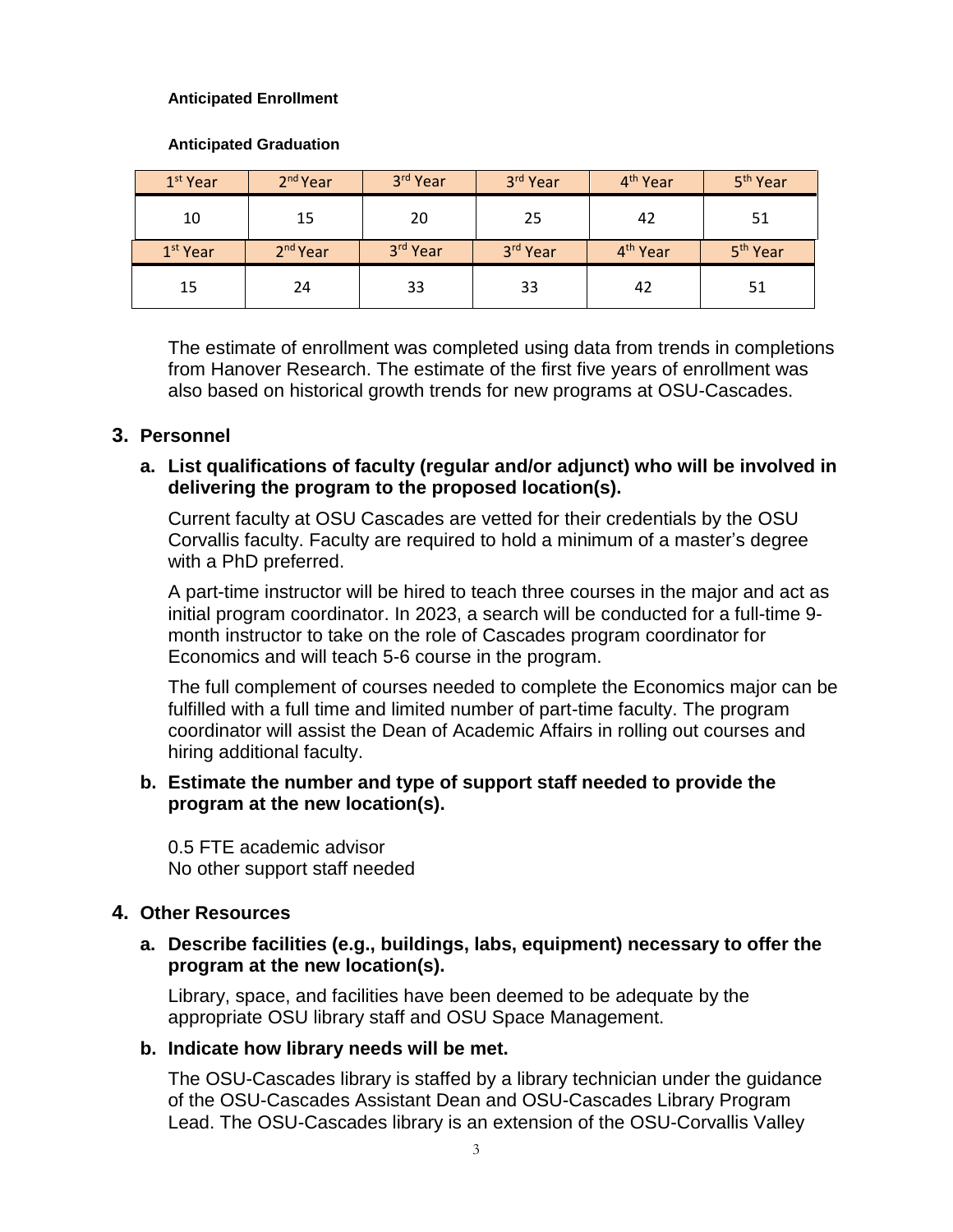#### **Anticipated Enrollment**

#### **Anticipated Graduation**

| $1st$ Year           | $2nd$ Year | 3rd Year | 3rd Year | 4 <sup>th</sup> Year | 5 <sup>th</sup> Year |
|----------------------|------------|----------|----------|----------------------|----------------------|
| 10                   | 15         | 20       | 25       | 42                   | 51                   |
| 1 <sup>st</sup> Year | $2nd$ Year | 3rd Year | 3rd Year | 4 <sup>th</sup> Year | 5 <sup>th</sup> Year |
| 15                   | 24         | 33       | 33       | 42                   | 51                   |

The estimate of enrollment was completed using data from trends in completions from Hanover Research. The estimate of the first five years of enrollment was also based on historical growth trends for new programs at OSU-Cascades.

#### **3. Personnel**

## **a. List qualifications of faculty (regular and/or adjunct) who will be involved in delivering the program to the proposed location(s).**

Current faculty at OSU Cascades are vetted for their credentials by the OSU Corvallis faculty. Faculty are required to hold a minimum of a master's degree with a PhD preferred.

A part-time instructor will be hired to teach three courses in the major and act as initial program coordinator. In 2023, a search will be conducted for a full-time 9 month instructor to take on the role of Cascades program coordinator for Economics and will teach 5-6 course in the program.

The full complement of courses needed to complete the Economics major can be fulfilled with a full time and limited number of part-time faculty. The program coordinator will assist the Dean of Academic Affairs in rolling out courses and hiring additional faculty.

## **b. Estimate the number and type of support staff needed to provide the program at the new location(s).**

0.5 FTE academic advisor No other support staff needed

#### **4. Other Resources**

#### **a. Describe facilities (e.g., buildings, labs, equipment) necessary to offer the program at the new location(s).**

Library, space, and facilities have been deemed to be adequate by the appropriate OSU library staff and OSU Space Management.

#### **b. Indicate how library needs will be met.**

The OSU-Cascades library is staffed by a library technician under the guidance of the OSU-Cascades Assistant Dean and OSU-Cascades Library Program Lead. The OSU-Cascades library is an extension of the OSU-Corvallis Valley